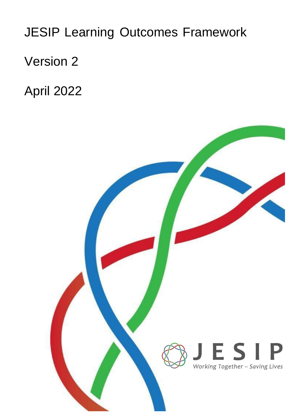JESIP Learning Outcomes Framework

Version 2

April 2022

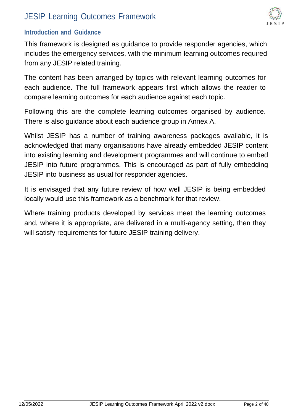

#### **Introduction and Guidance**

This framework is designed as guidance to provide responder agencies, which includes the emergency services, with the minimum learning outcomes required from any JESIP related training.

The content has been arranged by topics with relevant learning outcomes for each audience. The full framework appears first which allows the reader to compare learning outcomes for each audience against each topic.

Following this are the complete learning outcomes organised by audience. There is also guidance about each audience group in Annex A.

Whilst JESIP has a number of training awareness packages available, it is acknowledged that many organisations have already embedded JESIP content into existing learning and development programmes and will continue to embed JESIP into future programmes. This is encouraged as part of fully embedding JESIP into business as usual for responder agencies.

It is envisaged that any future review of how well JESIP is being embedded locally would use this framework as a benchmark for that review.

Where training products developed by services meet the learning outcomes and, where it is appropriate, are delivered in a multi-agency setting, then they will satisfy requirements for future JESIP training delivery.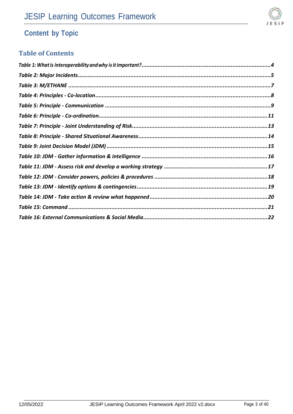

# **Content by Topic**

#### **Table of Contents**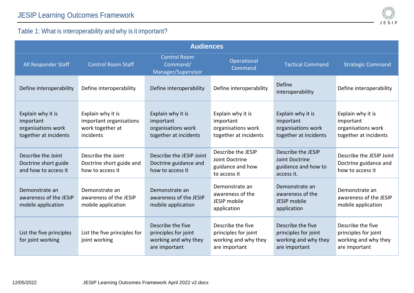

### Table 1: What is interoperability and why is it important?

<span id="page-3-0"></span>

| <b>Audiences</b>                                                              |                                                                               |                                                                                    |                                                                                    |                                                                                    |                                                                                    |  |
|-------------------------------------------------------------------------------|-------------------------------------------------------------------------------|------------------------------------------------------------------------------------|------------------------------------------------------------------------------------|------------------------------------------------------------------------------------|------------------------------------------------------------------------------------|--|
| All Responder Staff                                                           | <b>Control Room Staff</b>                                                     | <b>Control Room</b><br>Command/<br>Manager/Supervisor                              | Operational<br>Command                                                             | <b>Tactical Command</b>                                                            | <b>Strategic Command</b>                                                           |  |
| Define interoperability                                                       | Define interoperability                                                       | Define interoperability                                                            | Define interoperability                                                            | Define<br>interoperability                                                         | Define interoperability                                                            |  |
| Explain why it is<br>important<br>organisations work<br>together at incidents | Explain why it is<br>important organisations<br>work together at<br>incidents | Explain why it is<br>important<br>organisations work<br>together at incidents      | Explain why it is<br>important<br>organisations work<br>together at incidents      | Explain why it is<br>important<br>organisations work<br>together at incidents      | Explain why it is<br>important<br>organisations work<br>together at incidents      |  |
| Describe the Joint<br>Doctrine short guide<br>and how to access it            | Describe the Joint<br>Doctrine short guide and<br>how to access it            | Describe the JESIP Joint<br>Doctrine guidance and<br>how to access it              | Describe the JESIP<br>Joint Doctrine<br>guidance and how<br>to access it           | Describe the JESIP<br>Joint Doctrine<br>guidance and how to<br>access it.          | Describe the JESIP Joint<br>Doctrine guidance and<br>how to access it              |  |
| Demonstrate an<br>awareness of the JESIP<br>mobile application                | Demonstrate an<br>awareness of the JESIP<br>mobile application                | Demonstrate an<br>awareness of the JESIP<br>mobile application                     | Demonstrate an<br>awareness of the<br>JESIP mobile<br>application                  | Demonstrate an<br>awareness of the<br>JESIP mobile<br>application                  | Demonstrate an<br>awareness of the JESIP<br>mobile application                     |  |
| List the five principles<br>for joint working                                 | List the five principles for<br>joint working                                 | Describe the five<br>principles for joint<br>working and why they<br>are important | Describe the five<br>principles for joint<br>working and why they<br>are important | Describe the five<br>principles for joint<br>working and why they<br>are important | Describe the five<br>principles for joint<br>working and why they<br>are important |  |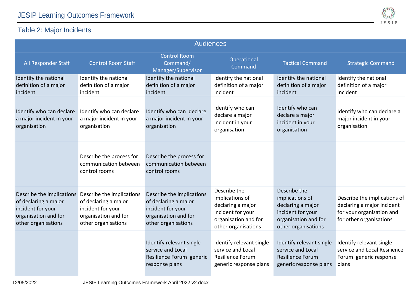

### Table 2: Major Incidents

<span id="page-4-0"></span>

|                                                                                                                       |                                                                                                                       |                                                                                                                       | <b>Audiences</b>                                                                                                         |                                                                                                                          |                                                                                                                    |
|-----------------------------------------------------------------------------------------------------------------------|-----------------------------------------------------------------------------------------------------------------------|-----------------------------------------------------------------------------------------------------------------------|--------------------------------------------------------------------------------------------------------------------------|--------------------------------------------------------------------------------------------------------------------------|--------------------------------------------------------------------------------------------------------------------|
| All Responder Staff                                                                                                   | <b>Control Room Staff</b>                                                                                             | <b>Control Room</b><br>Command/<br>Manager/Supervisor                                                                 | Operational<br>Command                                                                                                   | <b>Tactical Command</b>                                                                                                  | <b>Strategic Command</b>                                                                                           |
| Identify the national<br>definition of a major<br>incident                                                            | Identify the national<br>definition of a major<br>incident                                                            | Identify the national<br>definition of a major<br>incident                                                            | Identify the national<br>definition of a major<br>incident                                                               | Identify the national<br>definition of a major<br>incident                                                               | Identify the national<br>definition of a major<br>incident                                                         |
| Identify who can declare<br>a major incident in your<br>organisation                                                  | Identify who can declare<br>a major incident in your<br>organisation                                                  | Identify who can declare<br>a major incident in your<br>organisation                                                  | Identify who can<br>declare a major<br>incident in your<br>organisation                                                  | Identify who can<br>declare a major<br>incident in your<br>organisation                                                  | Identify who can declare a<br>major incident in your<br>organisation                                               |
|                                                                                                                       | Describe the process for<br>communication between<br>control rooms                                                    | Describe the process for<br>communication between<br>control rooms                                                    |                                                                                                                          |                                                                                                                          |                                                                                                                    |
| Describe the implications<br>of declaring a major<br>incident for your<br>organisation and for<br>other organisations | Describe the implications<br>of declaring a major<br>incident for your<br>organisation and for<br>other organisations | Describe the implications<br>of declaring a major<br>incident for your<br>organisation and for<br>other organisations | Describe the<br>implications of<br>declaring a major<br>incident for your<br>organisation and for<br>other organisations | Describe the<br>implications of<br>declaring a major<br>incident for your<br>organisation and for<br>other organisations | Describe the implications of<br>declaring a major incident<br>for your organisation and<br>for other organisations |
|                                                                                                                       |                                                                                                                       | Identify relevant single<br>service and Local<br>Resilience Forum generic<br>response plans                           | Identify relevant single<br>service and Local<br>Resilience Forum<br>generic response plans                              | Identify relevant single<br>service and Local<br><b>Resilience Forum</b><br>generic response plans                       | Identify relevant single<br>service and Local Resilience<br>Forum generic response<br>plans                        |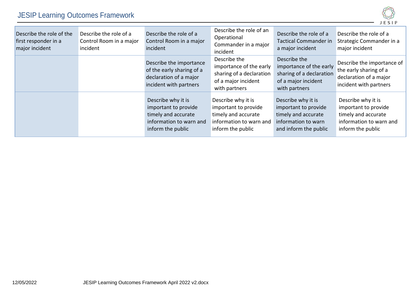# JESIP Learning Outcomes Framework



| Describe the role of the<br>first responder in a<br>major incident | Describe the role of a<br>Control Room in a major<br>incident | Describe the role of a<br>Control Room in a major<br>incident                                                     | Describe the role of an<br>Operational<br>Commander in a major<br>incident                                        | Describe the role of a<br><b>Tactical Commander in</b><br>a major incident                                        | Describe the role of a<br>Strategic Commander in a<br>major incident                                              |
|--------------------------------------------------------------------|---------------------------------------------------------------|-------------------------------------------------------------------------------------------------------------------|-------------------------------------------------------------------------------------------------------------------|-------------------------------------------------------------------------------------------------------------------|-------------------------------------------------------------------------------------------------------------------|
|                                                                    |                                                               | Describe the importance<br>of the early sharing of a<br>declaration of a major<br>incident with partners          | Describe the<br>importance of the early<br>sharing of a declaration<br>of a major incident<br>with partners       | Describe the<br>importance of the early<br>sharing of a declaration<br>of a major incident<br>with partners       | Describe the importance of<br>the early sharing of a<br>declaration of a major<br>incident with partners          |
|                                                                    |                                                               | Describe why it is<br>important to provide<br>timely and accurate<br>information to warn and<br>inform the public | Describe why it is<br>important to provide<br>timely and accurate<br>information to warn and<br>inform the public | Describe why it is<br>important to provide<br>timely and accurate<br>information to warn<br>and inform the public | Describe why it is<br>important to provide<br>timely and accurate<br>information to warn and<br>inform the public |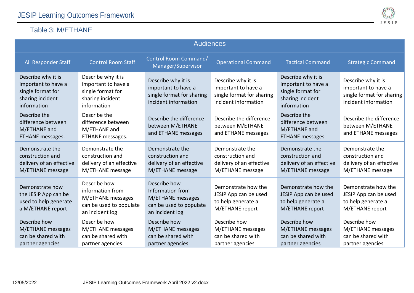#### Table 3: M/ETHANE



<span id="page-6-0"></span>

| <b>Audiences</b>                                                                                  |                                                                                                     |                                                                                                     |                                                                                                |                                                                                                   |                                                                                                |  |
|---------------------------------------------------------------------------------------------------|-----------------------------------------------------------------------------------------------------|-----------------------------------------------------------------------------------------------------|------------------------------------------------------------------------------------------------|---------------------------------------------------------------------------------------------------|------------------------------------------------------------------------------------------------|--|
| All Responder Staff                                                                               | <b>Control Room Staff</b>                                                                           | Control Room Command/<br>Manager/Supervisor                                                         | <b>Operational Command</b>                                                                     | <b>Tactical Command</b>                                                                           | <b>Strategic Command</b>                                                                       |  |
| Describe why it is<br>important to have a<br>single format for<br>sharing incident<br>information | Describe why it is<br>important to have a<br>single format for<br>sharing incident<br>information   | Describe why it is<br>important to have a<br>single format for sharing<br>incident information      | Describe why it is<br>important to have a<br>single format for sharing<br>incident information | Describe why it is<br>important to have a<br>single format for<br>sharing incident<br>information | Describe why it is<br>important to have a<br>single format for sharing<br>incident information |  |
| Describe the<br>difference between<br>M/ETHANE and<br>ETHANE messages.                            | Describe the<br>difference between<br>M/ETHANE and<br>ETHANE messages.                              | Describe the difference<br>between M/ETHANE<br>and ETHANE messages                                  | Describe the difference<br>between M/ETHANE<br>and ETHANE messages                             | Describe the<br>difference between<br>M/ETHANE and<br><b>ETHANE</b> messages                      | Describe the difference<br>between M/ETHANE<br>and ETHANE messages                             |  |
| Demonstrate the<br>construction and<br>delivery of an effective<br>M/ETHANE message               | Demonstrate the<br>construction and<br>delivery of an effective<br>M/ETHANE message                 | Demonstrate the<br>construction and<br>delivery of an effective<br>M/ETHANE message                 | Demonstrate the<br>construction and<br>delivery of an effective<br>M/ETHANE message            | Demonstrate the<br>construction and<br>delivery of an effective<br>M/ETHANE message               | Demonstrate the<br>construction and<br>delivery of an effective<br>M/ETHANE message            |  |
| Demonstrate how<br>the JESIP App can be<br>used to help generate<br>a M/ETHANE report             | Describe how<br>information from<br>M/ETHANE messages<br>can be used to populate<br>an incident log | Describe how<br>Information from<br>M/ETHANE messages<br>can be used to populate<br>an incident log | Demonstrate how the<br>JESIP App can be used<br>to help generate a<br>M/ETHANE report          | Demonstrate how the<br>JESIP App can be used<br>to help generate a<br>M/ETHANE report             | Demonstrate how the<br>JESIP App can be used<br>to help generate a<br>M/ETHANE report          |  |
| Describe how<br>M/ETHANE messages<br>can be shared with<br>partner agencies                       | Describe how<br>M/ETHANE messages<br>can be shared with<br>partner agencies                         | Describe how<br>M/ETHANE messages<br>can be shared with<br>partner agencies                         | Describe how<br>M/ETHANE messages<br>can be shared with<br>partner agencies                    | Describe how<br>M/ETHANE messages<br>can be shared with<br>partner agencies                       | Describe how<br>M/ETHANE messages<br>can be shared with<br>partner agencies                    |  |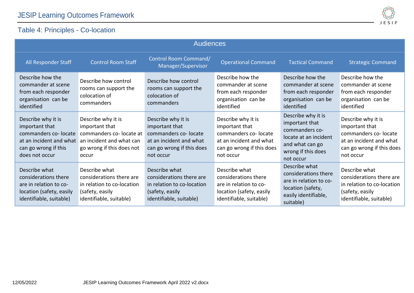### Table 4: Principles - Co-location



<span id="page-7-0"></span>

| <b>Audiences</b>                                                                                                                  |                                                                                                                                   |                                                                                                                                   |                                                                                                                                    |                                                                                                                                       |                                                                                                                                   |  |
|-----------------------------------------------------------------------------------------------------------------------------------|-----------------------------------------------------------------------------------------------------------------------------------|-----------------------------------------------------------------------------------------------------------------------------------|------------------------------------------------------------------------------------------------------------------------------------|---------------------------------------------------------------------------------------------------------------------------------------|-----------------------------------------------------------------------------------------------------------------------------------|--|
| All Responder Staff                                                                                                               | <b>Control Room Staff</b>                                                                                                         | Control Room Command/<br>Manager/Supervisor                                                                                       | <b>Operational Command</b>                                                                                                         | <b>Tactical Command</b>                                                                                                               | <b>Strategic Command</b>                                                                                                          |  |
| Describe how the<br>commander at scene<br>from each responder<br>organisation can be<br>identified                                | Describe how control<br>rooms can support the<br>colocation of<br>commanders                                                      | Describe how control<br>rooms can support the<br>colocation of<br>commanders                                                      | Describe how the<br>commander at scene<br>from each responder<br>organisation can be<br>identified                                 | Describe how the<br>commander at scene<br>from each responder<br>organisation can be<br>identified                                    | Describe how the<br>commander at scene<br>from each responder<br>organisation can be<br>identified                                |  |
| Describe why it is<br>important that<br>commanders co-locate<br>at an incident and what<br>can go wrong if this<br>does not occur | Describe why it is<br>important that<br>commanders co-locate at<br>an incident and what can<br>go wrong if this does not<br>occur | Describe why it is<br>important that<br>commanders co-locate<br>at an incident and what<br>can go wrong if this does<br>not occur | Describe why it is<br>important that<br>commanders co- locate<br>at an incident and what<br>can go wrong if this does<br>not occur | Describe why it is<br>important that<br>commanders co-<br>locate at an incident<br>and what can go<br>wrong if this does<br>not occur | Describe why it is<br>important that<br>commanders co-locate<br>at an incident and what<br>can go wrong if this does<br>not occur |  |
| Describe what<br>considerations there<br>are in relation to co-<br>location (safety, easily<br>identifiable, suitable)            | Describe what<br>considerations there are<br>in relation to co-location<br>(safety, easily<br>identifiable, suitable)             | Describe what<br>considerations there are<br>in relation to co-location<br>(safety, easily<br>identifiable, suitable)             | Describe what<br>considerations there<br>are in relation to co-<br>location (safety, easily<br>identifiable, suitable)             | Describe what<br>considerations there<br>are in relation to co-<br>location (safety,<br>easily identifiable,<br>suitable)             | Describe what<br>considerations there are<br>in relation to co-location<br>(safety, easily<br>identifiable, suitable)             |  |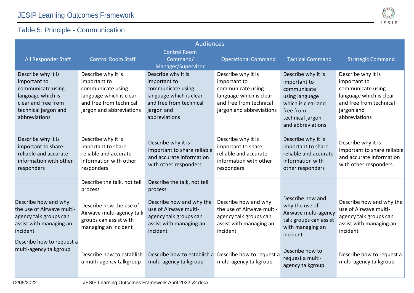### Table 5: Principle - Communication



<span id="page-8-0"></span>

| <b>Audiences</b>                                                                                                                             |                                                                                                                                           |                                                                                                                                              |                                                                                                                                           |                                                                                                                                                 |                                                                                                                                              |
|----------------------------------------------------------------------------------------------------------------------------------------------|-------------------------------------------------------------------------------------------------------------------------------------------|----------------------------------------------------------------------------------------------------------------------------------------------|-------------------------------------------------------------------------------------------------------------------------------------------|-------------------------------------------------------------------------------------------------------------------------------------------------|----------------------------------------------------------------------------------------------------------------------------------------------|
| All Responder Staff                                                                                                                          | <b>Control Room Staff</b>                                                                                                                 | <b>Control Room</b><br>Command/<br>Manager/Supervisor                                                                                        | <b>Operational Command</b>                                                                                                                | <b>Tactical Command</b>                                                                                                                         | <b>Strategic Command</b>                                                                                                                     |
| Describe why it is<br>important to<br>communicate using<br>language which is<br>clear and free from<br>technical jargon and<br>abbreviations | Describe why it is<br>important to<br>communicate using<br>language which is clear<br>and free from technical<br>jargon and abbreviations | Describe why it is<br>important to<br>communicate using<br>language which is clear<br>and free from technical<br>jargon and<br>abbreviations | Describe why it is<br>important to<br>communicate using<br>language which is clear<br>and free from technical<br>jargon and abbreviations | Describe why it is<br>important to<br>communicate<br>using language<br>which is clear and<br>free from<br>technical jargon<br>and abbreviations | Describe why it is<br>important to<br>communicate using<br>language which is clear<br>and free from technical<br>jargon and<br>abbreviations |
| Describe why it is<br>important to share<br>reliable and accurate<br>information with other<br>responders                                    | Describe why it is<br>important to share<br>reliable and accurate<br>information with other<br>responders                                 | Describe why it is<br>important to share reliable<br>and accurate information<br>with other responders                                       | Describe why it is<br>important to share<br>reliable and accurate<br>information with other<br>responders                                 | Describe why it is<br>important to share<br>reliable and accurate<br>information with<br>other responders                                       | Describe why it is<br>important to share reliable<br>and accurate information<br>with other responders                                       |
|                                                                                                                                              | Describe the talk, not tell<br>process                                                                                                    | Describe the talk, not tell<br>process                                                                                                       |                                                                                                                                           |                                                                                                                                                 |                                                                                                                                              |
| Describe how and why<br>the use of Airwave multi-<br>agency talk groups can<br>assist with managing an<br>incident                           | Describe how the use of<br>Airwave multi-agency talk<br>groups can assist with<br>managing an incident                                    | Describe how and why the<br>use of Airwave multi-<br>agency talk groups can<br>assist with managing an<br>incident                           | Describe how and why<br>the use of Airwave multi-<br>agency talk groups can<br>assist with managing an<br>incident                        | Describe how and<br>why the use of<br>Airwave multi-agency<br>talk groups can assist<br>with managing an<br>incident                            | Describe how and why the<br>use of Airwave multi-<br>agency talk groups can<br>assist with managing an<br>incident                           |
| Describe how to request a<br>multi-agency talkgroup                                                                                          | Describe how to establish<br>a multi-agency talkgroup                                                                                     | Describe how to establish a<br>multi-agency talkgroup                                                                                        | Describe how to request a<br>multi-agency talkgroup                                                                                       | Describe how to<br>request a multi-<br>agency talkgroup                                                                                         | Describe how to request a<br>multi-agency talkgroup                                                                                          |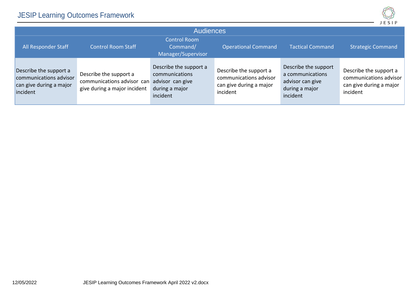

| <b>Audiences</b>                                                                        |                                                                                      |                                                                                            |                                                                                         |                                                                                            |                                                                                         |  |
|-----------------------------------------------------------------------------------------|--------------------------------------------------------------------------------------|--------------------------------------------------------------------------------------------|-----------------------------------------------------------------------------------------|--------------------------------------------------------------------------------------------|-----------------------------------------------------------------------------------------|--|
| All Responder Staff                                                                     | <b>Control Room Staff</b>                                                            | <b>Control Room</b><br>Command/<br>Manager/Supervisor                                      | <b>Operational Command</b>                                                              | <b>Tactical Command</b>                                                                    | <b>Strategic Command</b>                                                                |  |
| Describe the support a<br>communications advisor<br>can give during a major<br>incident | Describe the support a<br>communications advisor can<br>give during a major incident | Describe the support a<br>communications<br>advisor can give<br>during a major<br>incident | Describe the support a<br>communications advisor<br>can give during a major<br>incident | Describe the support<br>a communications<br>advisor can give<br>during a major<br>incident | Describe the support a<br>communications advisor<br>can give during a major<br>incident |  |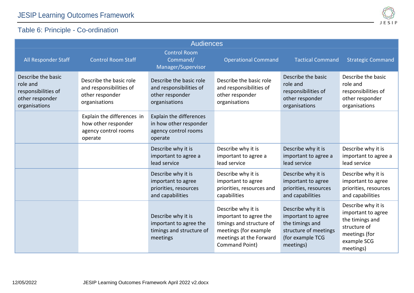All Responder Staff Control Room Staff

#### Table 6: Principle - Co-ordination

|                                                                                    |                                                                                        |                                                                                           | SIP                                                                                       |
|------------------------------------------------------------------------------------|----------------------------------------------------------------------------------------|-------------------------------------------------------------------------------------------|-------------------------------------------------------------------------------------------|
| <b>Audiences</b>                                                                   |                                                                                        |                                                                                           |                                                                                           |
| <b>Control Room</b><br>Command/<br>Manager/Supervisor                              | <b>Operational Command</b>                                                             | <b>Tactical Command</b>                                                                   | <b>Strategic Command</b>                                                                  |
| escribe the basic role<br>nd responsibilities of<br>ther responder<br>rganisations | Describe the basic role<br>and responsibilities of<br>other responder<br>organisations | Describe the basic<br>role and<br>responsibilities of<br>other responder<br>organisations | Describe the basic<br>role and<br>responsibilities of<br>other responder<br>organisations |
| xplain the differences<br>how other responder<br>gency control rooms<br>oerate     |                                                                                        |                                                                                           |                                                                                           |
|                                                                                    |                                                                                        |                                                                                           |                                                                                           |

<span id="page-10-0"></span>

| Describe the basic<br>role and<br>responsibilities of<br>other responder<br>organisations | Describe the basic role<br>and responsibilities of<br>other responder<br>organisations | Describe the basic role<br>and responsibilities of<br>other responder<br>organisations | Describe the basic role<br>and responsibilities of<br>other responder<br>organisations                                                         | Describe the basic<br>role and<br>responsibilities of<br>other responder<br>organisations                             | Describe the basic<br>role and<br>responsibilities of<br>other responder<br>organisations                                |
|-------------------------------------------------------------------------------------------|----------------------------------------------------------------------------------------|----------------------------------------------------------------------------------------|------------------------------------------------------------------------------------------------------------------------------------------------|-----------------------------------------------------------------------------------------------------------------------|--------------------------------------------------------------------------------------------------------------------------|
|                                                                                           | Explain the differences in<br>how other responder<br>agency control rooms<br>operate   | Explain the differences<br>in how other responder<br>agency control rooms<br>operate   |                                                                                                                                                |                                                                                                                       |                                                                                                                          |
|                                                                                           |                                                                                        | Describe why it is<br>important to agree a<br>lead service                             | Describe why it is<br>important to agree a<br>lead service                                                                                     | Describe why it is<br>important to agree a<br>lead service                                                            | Describe why it is<br>important to agree a<br>lead service                                                               |
|                                                                                           |                                                                                        | Describe why it is<br>important to agree<br>priorities, resources<br>and capabilities  | Describe why it is<br>important to agree<br>priorities, resources and<br>capabilities                                                          | Describe why it is<br>important to agree<br>priorities, resources<br>and capabilities                                 | Describe why it is<br>important to agree<br>priorities, resources<br>and capabilities                                    |
|                                                                                           |                                                                                        | Describe why it is<br>important to agree the<br>timings and structure of<br>meetings   | Describe why it is<br>important to agree the<br>timings and structure of<br>meetings (for example<br>meetings at the Forward<br>Command Point) | Describe why it is<br>important to agree<br>the timings and<br>structure of meetings<br>(for example TCG<br>meetings) | Describe why it is<br>important to agree<br>the timings and<br>structure of<br>meetings (for<br>example SCG<br>meetings) |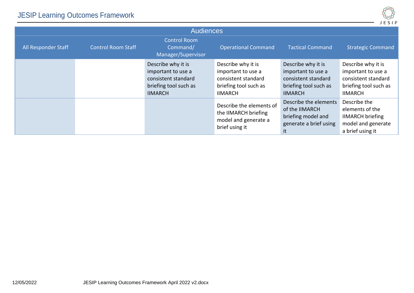

| <b>Audiences</b>    |                           |                                                                                                            |                                                                                                            |                                                                                                            |                                                                                                            |  |  |
|---------------------|---------------------------|------------------------------------------------------------------------------------------------------------|------------------------------------------------------------------------------------------------------------|------------------------------------------------------------------------------------------------------------|------------------------------------------------------------------------------------------------------------|--|--|
| All Responder Staff | <b>Control Room Staff</b> | <b>Control Room</b><br>Command/<br>Manager/Supervisor                                                      | <b>Operational Command</b>                                                                                 | <b>Tactical Command</b>                                                                                    | <b>Strategic Command</b>                                                                                   |  |  |
|                     |                           | Describe why it is<br>important to use a<br>consistent standard<br>briefing tool such as<br><b>IIMARCH</b> | Describe why it is<br>important to use a<br>consistent standard<br>briefing tool such as<br><b>IIMARCH</b> | Describe why it is<br>important to use a<br>consistent standard<br>briefing tool such as<br><b>IIMARCH</b> | Describe why it is<br>important to use a<br>consistent standard<br>briefing tool such as<br><b>IIMARCH</b> |  |  |
|                     |                           |                                                                                                            | Describe the elements of<br>the IIMARCH briefing<br>model and generate a<br>brief using it                 | Describe the elements<br>of the IIMARCH<br>briefing model and<br>generate a brief using<br>it              | Describe the<br>elements of the<br><b>IIMARCH</b> briefing<br>model and generate<br>a brief using it       |  |  |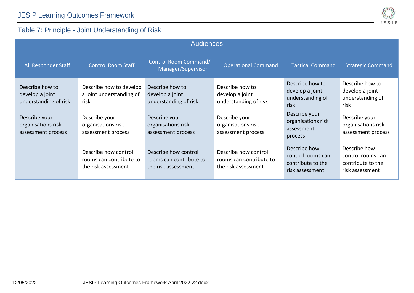### JESIP Learning Outcomes Framework



### Table 7: Principle - Joint Understanding of Risk

<span id="page-12-0"></span>

| <b>Audiences</b>                                            |                                                                        |                                                                        |                                                                        |                                                                           |                                                                           |  |
|-------------------------------------------------------------|------------------------------------------------------------------------|------------------------------------------------------------------------|------------------------------------------------------------------------|---------------------------------------------------------------------------|---------------------------------------------------------------------------|--|
| All Responder Staff                                         | <b>Control Room Staff</b>                                              | Control Room Command/<br>Manager/Supervisor                            | <b>Operational Command</b>                                             | <b>Tactical Command</b>                                                   | <b>Strategic Command</b>                                                  |  |
| Describe how to<br>develop a joint<br>understanding of risk | Describe how to develop<br>a joint understanding of<br>risk            | Describe how to<br>develop a joint<br>understanding of risk            | Describe how to<br>develop a joint<br>understanding of risk            | Describe how to<br>develop a joint<br>understanding of<br>risk            | Describe how to<br>develop a joint<br>understanding of<br>risk            |  |
| Describe your<br>organisations risk<br>assessment process   | Describe your<br>organisations risk<br>assessment process              | Describe your<br>organisations risk<br>assessment process              | Describe your<br>organisations risk<br>assessment process              | Describe your<br>organisations risk<br>assessment<br>process              | Describe your<br>organisations risk<br>assessment process                 |  |
|                                                             | Describe how control<br>rooms can contribute to<br>the risk assessment | Describe how control<br>rooms can contribute to<br>the risk assessment | Describe how control<br>rooms can contribute to<br>the risk assessment | Describe how<br>control rooms can<br>contribute to the<br>risk assessment | Describe how<br>control rooms can<br>contribute to the<br>risk assessment |  |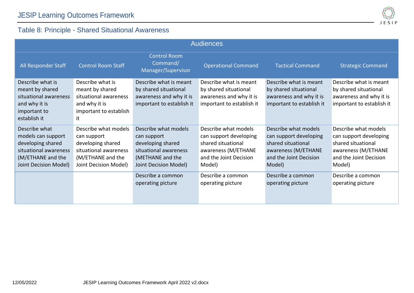## Table 8: Principle - Shared Situational Awareness

<span id="page-13-0"></span>

| <b>Audiences</b>                                                                                                                |                                                                                                                                 |                                                                                                                                |                                                                                                                                 |                                                                                                                                 |                                                                                                                                 |  |
|---------------------------------------------------------------------------------------------------------------------------------|---------------------------------------------------------------------------------------------------------------------------------|--------------------------------------------------------------------------------------------------------------------------------|---------------------------------------------------------------------------------------------------------------------------------|---------------------------------------------------------------------------------------------------------------------------------|---------------------------------------------------------------------------------------------------------------------------------|--|
| All Responder Staff                                                                                                             | <b>Control Room Staff</b>                                                                                                       | <b>Control Room</b><br>Command/<br>Manager/Supervisor                                                                          | <b>Operational Command</b>                                                                                                      | <b>Tactical Command</b>                                                                                                         | <b>Strategic Command</b>                                                                                                        |  |
| Describe what is<br>meant by shared<br>situational awareness<br>and why it is<br>important to<br>establish it                   | Describe what is<br>meant by shared<br>situational awareness<br>and why it is<br>important to establish<br>it                   | Describe what is meant<br>by shared situational<br>awareness and why it is<br>important to establish it                        | Describe what is meant<br>by shared situational<br>awareness and why it is<br>important to establish it                         | Describe what is meant<br>by shared situational<br>awareness and why it is<br>important to establish it                         | Describe what is meant<br>by shared situational<br>awareness and why it is<br>important to establish it                         |  |
| Describe what<br>models can support<br>developing shared<br>situational awareness<br>(M/ETHANE and the<br>Joint Decision Model) | Describe what models<br>can support<br>developing shared<br>situational awareness<br>(M/ETHANE and the<br>Joint Decision Model) | Describe what models<br>can support<br>developing shared<br>situational awareness<br>(METHANE and the<br>Joint Decision Model) | Describe what models<br>can support developing<br>shared situational<br>awareness (M/ETHANE<br>and the Joint Decision<br>Model) | Describe what models<br>can support developing<br>shared situational<br>awareness (M/ETHANE<br>and the Joint Decision<br>Model) | Describe what models<br>can support developing<br>shared situational<br>awareness (M/ETHANE<br>and the Joint Decision<br>Model) |  |
|                                                                                                                                 |                                                                                                                                 | Describe a common<br>operating picture                                                                                         | Describe a common<br>operating picture                                                                                          | Describe a common<br>operating picture                                                                                          | Describe a common<br>operating picture                                                                                          |  |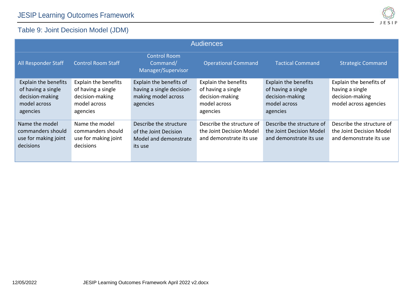#### Table 9: Joint Decision Model (JDM)

<span id="page-14-0"></span>

| <b>Audiences</b>                                                                                 |                                                                                           |                                                                                         |                                                                                                  |                                                                                                  |                                                                                        |  |  |
|--------------------------------------------------------------------------------------------------|-------------------------------------------------------------------------------------------|-----------------------------------------------------------------------------------------|--------------------------------------------------------------------------------------------------|--------------------------------------------------------------------------------------------------|----------------------------------------------------------------------------------------|--|--|
| <b>All Responder Staff</b>                                                                       | <b>Control Room Staff</b>                                                                 | <b>Control Room</b><br>Command/<br>Manager/Supervisor                                   | <b>Operational Command</b>                                                                       | <b>Tactical Command</b>                                                                          | <b>Strategic Command</b>                                                               |  |  |
| <b>Explain the benefits</b><br>of having a single<br>decision-making<br>model across<br>agencies | Explain the benefits<br>of having a single<br>decision-making<br>model across<br>agencies | Explain the benefits of<br>having a single decision-<br>making model across<br>agencies | <b>Explain the benefits</b><br>of having a single<br>decision-making<br>model across<br>agencies | <b>Explain the benefits</b><br>of having a single<br>decision-making<br>model across<br>agencies | Explain the benefits of<br>having a single<br>decision-making<br>model across agencies |  |  |
| Name the model<br>commanders should<br>use for making joint<br>decisions                         | Name the model<br>commanders should<br>use for making joint<br>decisions                  | Describe the structure<br>of the Joint Decision<br>Model and demonstrate<br>its use     | Describe the structure of<br>the Joint Decision Model<br>and demonstrate its use                 | Describe the structure of<br>the Joint Decision Model<br>and demonstrate its use                 | Describe the structure of<br>the Joint Decision Model<br>and demonstrate its use       |  |  |

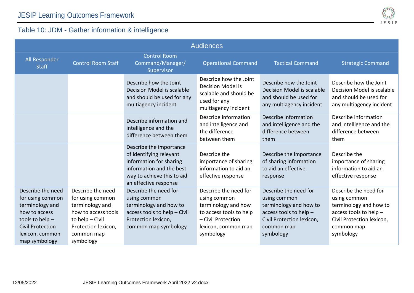

#### Table 10: JDM - Gather information & intelligence

<span id="page-15-0"></span>

| <b>Audiences</b>                                                                                                                                              |                                                                                                                                                      |                                                                                                                                                                  |                                                                                                                                                   |                                                                                                                                                   |                                                                                                                                                   |  |  |
|---------------------------------------------------------------------------------------------------------------------------------------------------------------|------------------------------------------------------------------------------------------------------------------------------------------------------|------------------------------------------------------------------------------------------------------------------------------------------------------------------|---------------------------------------------------------------------------------------------------------------------------------------------------|---------------------------------------------------------------------------------------------------------------------------------------------------|---------------------------------------------------------------------------------------------------------------------------------------------------|--|--|
| All Responder<br><b>Staff</b>                                                                                                                                 | <b>Control Room Staff</b>                                                                                                                            | <b>Control Room</b><br>Command/Manager/<br>Supervisor                                                                                                            | <b>Operational Command</b>                                                                                                                        | <b>Tactical Command</b>                                                                                                                           | <b>Strategic Command</b>                                                                                                                          |  |  |
|                                                                                                                                                               |                                                                                                                                                      | Describe how the Joint<br>Decision Model is scalable<br>and should be used for any<br>multiagency incident                                                       | Describe how the Joint<br>Decision Model is<br>scalable and should be<br>used for any<br>multiagency incident                                     | Describe how the Joint<br>Decision Model is scalable<br>and should be used for<br>any multiagency incident                                        | Describe how the Joint<br>Decision Model is scalable<br>and should be used for<br>any multiagency incident                                        |  |  |
|                                                                                                                                                               |                                                                                                                                                      | Describe information and<br>intelligence and the<br>difference between them                                                                                      | Describe information<br>and intelligence and<br>the difference<br>between them                                                                    | Describe information<br>and intelligence and the<br>difference between<br>them                                                                    | Describe information<br>and intelligence and the<br>difference between<br>them                                                                    |  |  |
|                                                                                                                                                               |                                                                                                                                                      | Describe the importance<br>of identifying relevant<br>information for sharing<br>information and the best<br>way to achieve this to aid<br>an effective response | Describe the<br>importance of sharing<br>information to aid an<br>effective response                                                              | Describe the importance<br>of sharing information<br>to aid an effective<br>response                                                              | Describe the<br>importance of sharing<br>information to aid an<br>effective response                                                              |  |  |
| Describe the need<br>for using common<br>terminology and<br>how to access<br>tools to help $-$<br><b>Civil Protection</b><br>lexicon, common<br>map symbology | Describe the need<br>for using common<br>terminology and<br>how to access tools<br>to help - Civil<br>Protection lexicon,<br>common map<br>symbology | Describe the need for<br>using common<br>terminology and how to<br>access tools to help - Civil<br>Protection lexicon,<br>common map symbology                   | Describe the need for<br>using common<br>terminology and how<br>to access tools to help<br>- Civil Protection<br>lexicon, common map<br>symbology | Describe the need for<br>using common<br>terminology and how to<br>access tools to help -<br>Civil Protection lexicon,<br>common map<br>symbology | Describe the need for<br>using common<br>terminology and how to<br>access tools to help -<br>Civil Protection lexicon,<br>common map<br>symbology |  |  |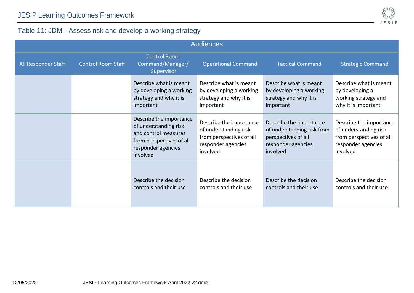

### Table 11: JDM - Assess risk and develop a working strategy

<span id="page-16-0"></span>

| <b>Audiences</b>    |                           |                                                                                                                                        |                                                                                                                |                                                                                                                |                                                                                                                |  |
|---------------------|---------------------------|----------------------------------------------------------------------------------------------------------------------------------------|----------------------------------------------------------------------------------------------------------------|----------------------------------------------------------------------------------------------------------------|----------------------------------------------------------------------------------------------------------------|--|
| All Responder Staff | <b>Control Room Staff</b> | <b>Control Room</b><br>Command/Manager/<br>Supervisor                                                                                  | <b>Operational Command</b>                                                                                     | <b>Tactical Command</b>                                                                                        | <b>Strategic Command</b>                                                                                       |  |
|                     |                           | Describe what is meant<br>by developing a working<br>strategy and why it is<br>important                                               | Describe what is meant<br>by developing a working<br>strategy and why it is<br>important                       | Describe what is meant<br>by developing a working<br>strategy and why it is<br>important                       | Describe what is meant<br>by developing a<br>working strategy and<br>why it is important                       |  |
|                     |                           | Describe the importance<br>of understanding risk<br>and control measures<br>from perspectives of all<br>responder agencies<br>involved | Describe the importance<br>of understanding risk<br>from perspectives of all<br>responder agencies<br>involved | Describe the importance<br>of understanding risk from<br>perspectives of all<br>responder agencies<br>involved | Describe the importance<br>of understanding risk<br>from perspectives of all<br>responder agencies<br>involved |  |
|                     |                           | Describe the decision<br>controls and their use                                                                                        | Describe the decision<br>controls and their use                                                                | Describe the decision<br>controls and their use                                                                | Describe the decision<br>controls and their use                                                                |  |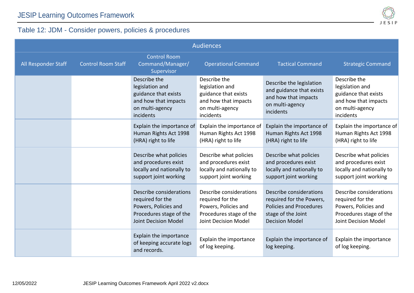

## Table 12: JDM - Consider powers, policies & procedures

<span id="page-17-0"></span>

| <b>Audiences</b>    |                           |                                                                                                                               |                                                                                                                        |                                                                                                                                      |                                                                                                                               |  |
|---------------------|---------------------------|-------------------------------------------------------------------------------------------------------------------------------|------------------------------------------------------------------------------------------------------------------------|--------------------------------------------------------------------------------------------------------------------------------------|-------------------------------------------------------------------------------------------------------------------------------|--|
| All Responder Staff | <b>Control Room Staff</b> | <b>Control Room</b><br>Command/Manager/<br>Supervisor                                                                         | <b>Operational Command</b>                                                                                             | <b>Tactical Command</b>                                                                                                              | <b>Strategic Command</b>                                                                                                      |  |
|                     |                           | Describe the<br>legislation and<br>guidance that exists<br>and how that impacts<br>on multi-agency<br>incidents               | Describe the<br>legislation and<br>guidance that exists<br>and how that impacts<br>on multi-agency<br>incidents        | Describe the legislation<br>and guidance that exists<br>and how that impacts<br>on multi-agency<br>incidents                         | Describe the<br>legislation and<br>guidance that exists<br>and how that impacts<br>on multi-agency<br>incidents               |  |
|                     |                           | Explain the importance of<br>Human Rights Act 1998<br>(HRA) right to life                                                     | Explain the importance of<br>Human Rights Act 1998<br>(HRA) right to life                                              | Explain the importance of<br>Human Rights Act 1998<br>(HRA) right to life                                                            | Explain the importance of<br>Human Rights Act 1998<br>(HRA) right to life                                                     |  |
|                     |                           | Describe what policies<br>and procedures exist<br>locally and nationally to<br>support joint working                          | Describe what policies<br>and procedures exist<br>locally and nationally to<br>support joint working                   | Describe what policies<br>and procedures exist<br>locally and nationally to<br>support joint working                                 | Describe what policies<br>and procedures exist<br>locally and nationally to<br>support joint working                          |  |
|                     |                           | Describe considerations<br>required for the<br>Powers, Policies and<br>Procedures stage of the<br><b>Joint Decision Model</b> | Describe considerations<br>required for the<br>Powers, Policies and<br>Procedures stage of the<br>Joint Decision Model | Describe considerations<br>required for the Powers,<br><b>Policies and Procedures</b><br>stage of the Joint<br><b>Decision Model</b> | Describe considerations<br>required for the<br>Powers, Policies and<br>Procedures stage of the<br><b>Joint Decision Model</b> |  |
|                     |                           | Explain the importance<br>of keeping accurate logs<br>and records.                                                            | Explain the importance<br>of log keeping.                                                                              | Explain the importance of<br>log keeping.                                                                                            | Explain the importance<br>of log keeping.                                                                                     |  |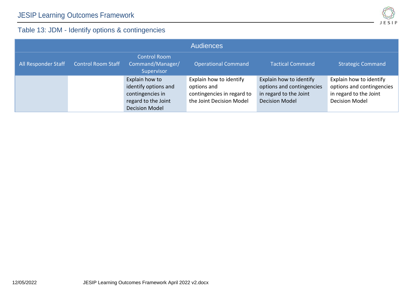

## Table 13: JDM - Identify options & contingencies

<span id="page-18-0"></span>

| <b>Audiences</b>    |                           |                                                                                                            |                                                                                                  |                                                                                                         |                                                                                                         |  |  |
|---------------------|---------------------------|------------------------------------------------------------------------------------------------------------|--------------------------------------------------------------------------------------------------|---------------------------------------------------------------------------------------------------------|---------------------------------------------------------------------------------------------------------|--|--|
| All Responder Staff | <b>Control Room Staff</b> | <b>Control Room</b><br>Command/Manager/<br>Supervisor                                                      | <b>Operational Command</b>                                                                       | <b>Tactical Command</b>                                                                                 | <b>Strategic Command</b>                                                                                |  |  |
|                     |                           | Explain how to<br>identify options and<br>contingencies in<br>regard to the Joint<br><b>Decision Model</b> | Explain how to identify<br>options and<br>contingencies in regard to<br>the Joint Decision Model | Explain how to identify<br>options and contingencies<br>in regard to the Joint<br><b>Decision Model</b> | Explain how to identify<br>options and contingencies<br>in regard to the Joint<br><b>Decision Model</b> |  |  |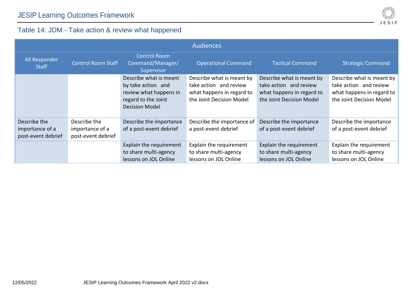

#### Table 14: JDM - Take action & review what happened

<span id="page-19-0"></span>

|                                       |                                       |                                                                                                                        | <b>Audiences</b>                                                                                             |                                                                                                              |                                                                                                              |
|---------------------------------------|---------------------------------------|------------------------------------------------------------------------------------------------------------------------|--------------------------------------------------------------------------------------------------------------|--------------------------------------------------------------------------------------------------------------|--------------------------------------------------------------------------------------------------------------|
| All Responder<br><b>Staff</b>         | <b>Control Room Staff</b>             | <b>Control Room</b><br>Command/Manager/<br><b>Supervisor</b>                                                           | <b>Operational Command</b>                                                                                   | <b>Tactical Command</b>                                                                                      | <b>Strategic Command</b>                                                                                     |
|                                       |                                       | Describe what is meant<br>by take action and<br>review what happens in<br>regard to the Joint<br><b>Decision Model</b> | Describe what is meant by<br>take action and review<br>what happens in regard to<br>the Joint Decision Model | Describe what is meant by<br>take action and review<br>what happens in regard to<br>the Joint Decision Model | Describe what is meant by<br>take action and review<br>what happens in regard to<br>the Joint Decision Model |
| Describe the                          | Describe the                          | Describe the importance                                                                                                | Describe the importance of                                                                                   | Describe the importance                                                                                      | Describe the importance                                                                                      |
| importance of a<br>post-event debrief | importance of a<br>post-event debrief | of a post-event debrief                                                                                                | a post-event debrief                                                                                         | of a post-event debrief                                                                                      | of a post-event debrief                                                                                      |
|                                       |                                       | Explain the requirement                                                                                                | Explain the requirement                                                                                      | Explain the requirement                                                                                      | Explain the requirement                                                                                      |
|                                       |                                       | to share multi-agency                                                                                                  | to share multi-agency                                                                                        | to share multi-agency                                                                                        | to share multi-agency                                                                                        |
|                                       |                                       | lessons on JOL Online                                                                                                  | lessons on JOL Online                                                                                        | lessons on JOL Online                                                                                        | lessons on JOL Online                                                                                        |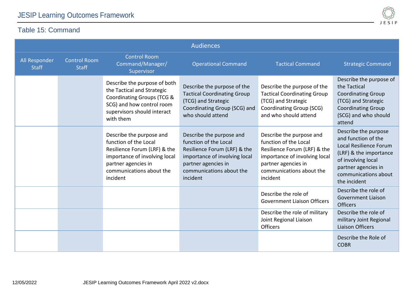#### Table 15: Command



<span id="page-20-0"></span>

|                               |                                     |                                                                                                                                                                                   | <b>Audiences</b>                                                                                                                                                                  |                                                                                                                                                                                   |                                                                                                                                                                                      |
|-------------------------------|-------------------------------------|-----------------------------------------------------------------------------------------------------------------------------------------------------------------------------------|-----------------------------------------------------------------------------------------------------------------------------------------------------------------------------------|-----------------------------------------------------------------------------------------------------------------------------------------------------------------------------------|--------------------------------------------------------------------------------------------------------------------------------------------------------------------------------------|
| All Responder<br><b>Staff</b> | <b>Control Room</b><br><b>Staff</b> | <b>Control Room</b><br>Command/Manager/<br>Supervisor                                                                                                                             | <b>Operational Command</b>                                                                                                                                                        | <b>Tactical Command</b>                                                                                                                                                           | <b>Strategic Command</b>                                                                                                                                                             |
|                               |                                     | Describe the purpose of both<br>the Tactical and Strategic<br>Coordinating Groups (TCG &<br>SCG) and how control room<br>supervisors should interact<br>with them                 | Describe the purpose of the<br><b>Tactical Coordinating Group</b><br>(TCG) and Strategic<br>Coordinating Group (SCG) and<br>who should attend                                     | Describe the purpose of the<br><b>Tactical Coordinating Group</b><br>(TCG) and Strategic<br>Coordinating Group (SCG)<br>and who should attend                                     | Describe the purpose of<br>the Tactical<br><b>Coordinating Group</b><br>(TCG) and Strategic<br><b>Coordinating Group</b><br>(SCG) and who should<br>attend                           |
|                               |                                     | Describe the purpose and<br>function of the Local<br>Resilience Forum (LRF) & the<br>importance of involving local<br>partner agencies in<br>communications about the<br>incident | Describe the purpose and<br>function of the Local<br>Resilience Forum (LRF) & the<br>importance of involving local<br>partner agencies in<br>communications about the<br>incident | Describe the purpose and<br>function of the Local<br>Resilience Forum (LRF) & the<br>importance of involving local<br>partner agencies in<br>communications about the<br>incident | Describe the purpose<br>and function of the<br>Local Resilience Forum<br>(LRF) & the importance<br>of involving local<br>partner agencies in<br>communications about<br>the incident |
|                               |                                     |                                                                                                                                                                                   |                                                                                                                                                                                   | Describe the role of<br><b>Government Liaison Officers</b>                                                                                                                        | Describe the role of<br><b>Government Liaison</b><br><b>Officers</b>                                                                                                                 |
|                               |                                     |                                                                                                                                                                                   |                                                                                                                                                                                   | Describe the role of military<br>Joint Regional Liaison<br>Officers                                                                                                               | Describe the role of<br>military Joint Regional<br><b>Liaison Officers</b>                                                                                                           |
|                               |                                     |                                                                                                                                                                                   |                                                                                                                                                                                   |                                                                                                                                                                                   | Describe the Role of<br><b>COBR</b>                                                                                                                                                  |